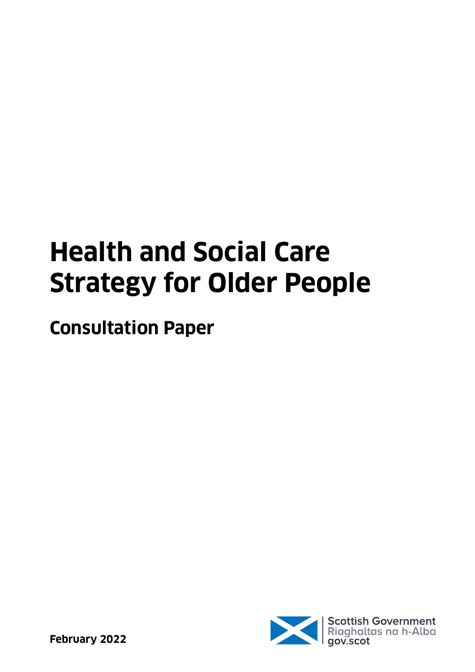# **Health and Social Care Strategy for Older People**

**Consultation Paper**

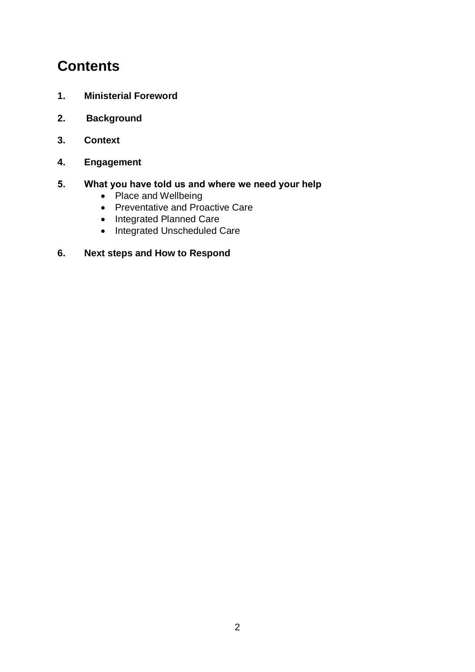### **Contents**

- **1. Ministerial Foreword**
- **2. Background**
- **3. Context**
- **4. Engagement**

#### **5. What you have told us and where we need your help**

- Place and Wellbeing
- Preventative and Proactive Care
- Integrated Planned Care
- Integrated Unscheduled Care

#### **6. Next steps and How to Respond**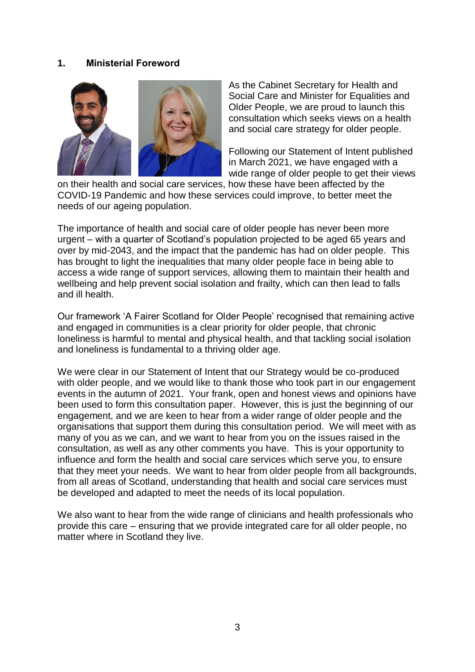#### **1. Ministerial Foreword**



As the Cabinet Secretary for Health and Social Care and Minister for Equalities and Older People, we are proud to launch this consultation which seeks views on a health and social care strategy for older people.

Following our Statement of Intent published in March 2021, we have engaged with a wide range of older people to get their views

on their health and social care services, how these have been affected by the COVID-19 Pandemic and how these services could improve, to better meet the needs of our ageing population.

The importance of health and social care of older people has never been more urgent – with a quarter of Scotland's population projected to be aged 65 years and over by mid-2043, and the impact that the pandemic has had on older people. This has brought to light the inequalities that many older people face in being able to access a wide range of support services, allowing them to maintain their health and wellbeing and help prevent social isolation and frailty, which can then lead to falls and ill health.

Our framework 'A Fairer Scotland for Older People' recognised that remaining active and engaged in communities is a clear priority for older people, that chronic loneliness is harmful to mental and physical health, and that tackling social isolation and loneliness is fundamental to a thriving older age.

We were clear in our Statement of Intent that our Strategy would be co-produced with older people, and we would like to thank those who took part in our engagement events in the autumn of 2021. Your frank, open and honest views and opinions have been used to form this consultation paper. However, this is just the beginning of our engagement, and we are keen to hear from a wider range of older people and the organisations that support them during this consultation period. We will meet with as many of you as we can, and we want to hear from you on the issues raised in the consultation, as well as any other comments you have. This is your opportunity to influence and form the health and social care services which serve you, to ensure that they meet your needs. We want to hear from older people from all backgrounds, from all areas of Scotland, understanding that health and social care services must be developed and adapted to meet the needs of its local population.

We also want to hear from the wide range of clinicians and health professionals who provide this care – ensuring that we provide integrated care for all older people, no matter where in Scotland they live.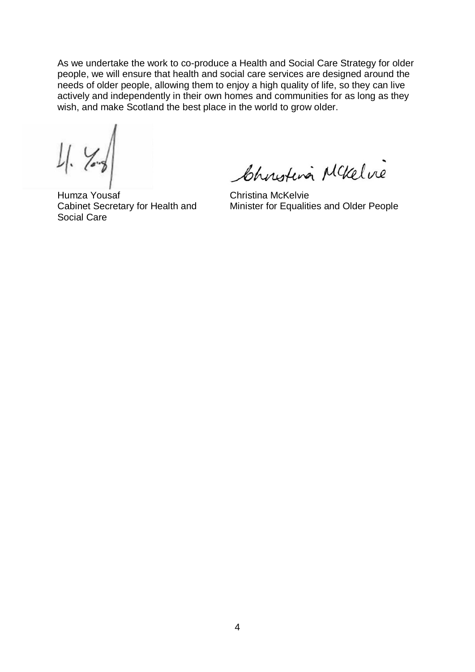As we undertake the work to co-produce a Health and Social Care Strategy for older people, we will ensure that health and social care services are designed around the needs of older people, allowing them to enjoy a high quality of life, so they can live actively and independently in their own homes and communities for as long as they wish, and make Scotland the best place in the world to grow older.

Humza Yousaf **Christina McKelvie** Social Care

Christina Mckelvie

Cabinet Secretary for Health and Minister for Equalities and Older People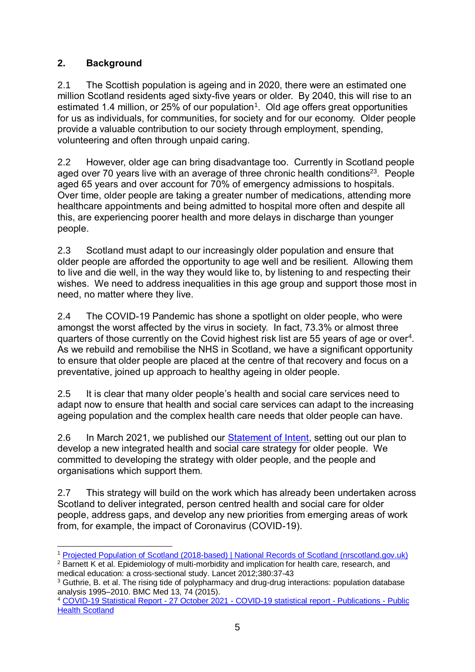#### **2. Background**

2.1 The Scottish population is ageing and in 2020, there were an estimated one million Scotland residents aged sixty-five years or older. By 2040, this will rise to an estimated 1.4 million, or 25% of our population<sup>1</sup>. Old age offers great opportunities for us as individuals, for communities, for society and for our economy. Older people provide a valuable contribution to our society through employment, spending, volunteering and often through unpaid caring.

2.2 However, older age can bring disadvantage too. Currently in Scotland people aged over 70 years live with an average of three chronic health conditions<sup>23</sup>. People aged 65 years and over account for 70% of emergency admissions to hospitals. Over time, older people are taking a greater number of medications, attending more healthcare appointments and being admitted to hospital more often and despite all this, are experiencing poorer health and more delays in discharge than younger people.

2.3 Scotland must adapt to our increasingly older population and ensure that older people are afforded the opportunity to age well and be resilient. Allowing them to live and die well, in the way they would like to, by listening to and respecting their wishes. We need to address inequalities in this age group and support those most in need, no matter where they live.

2.4 The COVID-19 Pandemic has shone a spotlight on older people, who were amongst the worst affected by the virus in society. In fact, 73.3% or almost three quarters of those currently on the Covid highest risk list are 55 years of age or over<sup>4</sup>. As we rebuild and remobilise the NHS in Scotland, we have a significant opportunity to ensure that older people are placed at the centre of that recovery and focus on a preventative, joined up approach to healthy ageing in older people.

2.5 It is clear that many older people's health and social care services need to adapt now to ensure that health and social care services can adapt to the increasing ageing population and the complex health care needs that older people can have.

2.6 In March 2021, we published our [Statement of Intent,](https://apsgrouplimited-my.sharepoint.com/personal/keith_jardine_theapsgroup_com/Documents/Health%20and%20social%20care%20for%20older%20people:%20statement%20of%20intent%20-%20gov.scot%20(www.gov.scot)) setting out our plan to develop a new integrated health and social care strategy for older people. We committed to developing the strategy with older people, and the people and organisations which support them.

2.7 This strategy will build on the work which has already been undertaken across Scotland to deliver integrated, person centred health and social care for older people, address gaps, and develop any new priorities from emerging areas of work from, for example, the impact of Coronavirus (COVID-19).

<sup>1</sup> <sup>1</sup> [Projected Population of Scotland \(2018-based\) | National Records of Scotland \(nrscotland.gov.uk\)](https://www.nrscotland.gov.uk/statistics-and-data/statistics/statistics-by-theme/population/population-projections/population-projections-scotland/2018-based)

<sup>&</sup>lt;sup>2</sup> Barnett K et al. Epidemiology of multi-morbidity and implication for health care, research, and medical education: a cross-sectional study. Lancet 2012;380:37-43

<sup>&</sup>lt;sup>3</sup> Guthrie, B. et al. The rising tide of polypharmacy and drug-drug interactions: population database analysis 1995–2010. BMC Med 13, 74 (2015).

<sup>&</sup>lt;sup>4</sup> [COVID-19 Statistical Report -](https://publichealthscotland.scot/publications/covid-19-statistical-report/covid-19-statistical-report-27-october-2021/) 27 October 2021 - COVID-19 statistical report - Publications - Public [Health Scotland](https://publichealthscotland.scot/publications/covid-19-statistical-report/covid-19-statistical-report-27-october-2021/)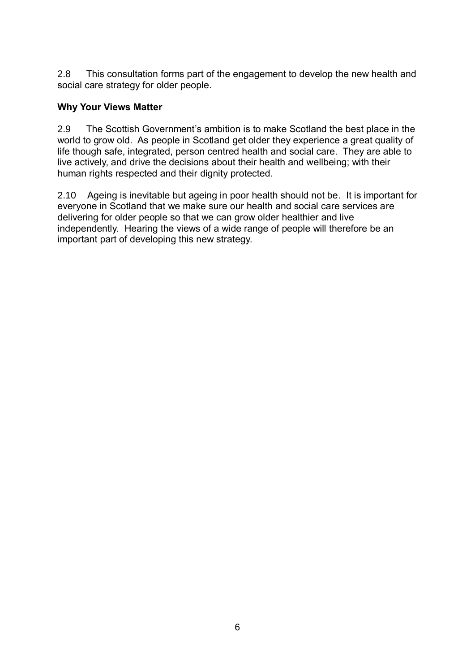2.8 This consultation forms part of the engagement to develop the new health and social care strategy for older people.

#### **Why Your Views Matter**

2.9 The Scottish Government's ambition is to make Scotland the best place in the world to grow old. As people in Scotland get older they experience a great quality of life though safe, integrated, person centred health and social care. They are able to live actively, and drive the decisions about their health and wellbeing; with their human rights respected and their dignity protected.

2.10 Ageing is inevitable but ageing in poor health should not be. It is important for everyone in Scotland that we make sure our health and social care services are delivering for older people so that we can grow older healthier and live independently. Hearing the views of a wide range of people will therefore be an important part of developing this new strategy.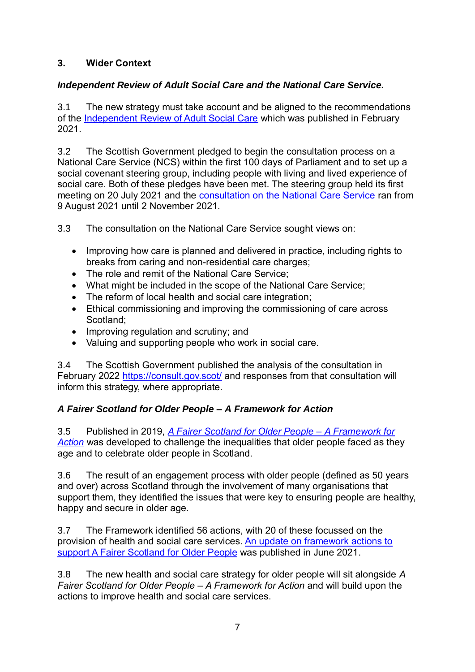#### **3. Wider Context**

#### *Independent Review of Adult Social Care and the National Care Service.*

3.1 The new strategy must take account and be aligned to the recommendations of the [Independent Review of Adult Social Care](https://www.gov.scot/publications/independent-review-adult-social-care-scotland/) which was published in February 2021.

3.2 The Scottish Government pledged to begin the consultation process on a National Care Service (NCS) within the first 100 days of Parliament and to set up a social covenant steering group, including people with living and lived experience of social care. Both of these pledges have been met. The steering group held its first meeting on 20 July 2021 and the [consultation on the National Care Service](https://www.gov.scot/publications/national-care-service-scotland-consultation/) ran from 9 August 2021 until 2 November 2021.

3.3 The consultation on the National Care Service sought views on:

- Improving how care is planned and delivered in practice, including rights to breaks from caring and non-residential care charges;
- The role and remit of the National Care Service;
- What might be included in the scope of the National Care Service;
- The reform of local health and social care integration;
- Ethical commissioning and improving the commissioning of care across Scotland;
- Improving regulation and scrutiny; and
- Valuing and supporting people who work in social care.

3.4 The Scottish Government published the analysis of the consultation in February 2022<https://consult.gov.scot/> and responses from that consultation will inform this strategy, where appropriate.

#### *A Fairer Scotland for Older People – A Framework for Action*

3.5 Published in 2019, *[A Fairer Scotland for Older People –](https://www.gov.scot/publications/fairer-scotland-older-people-framework-action/) A Framework for [Action](https://www.gov.scot/publications/fairer-scotland-older-people-framework-action/)* was developed to challenge the inequalities that older people faced as they age and to celebrate older people in Scotland.

3.6 The result of an engagement process with older people (defined as 50 years and over) across Scotland through the involvement of many organisations that support them, they identified the issues that were key to ensuring people are healthy, happy and secure in older age.

3.7 The Framework identified 56 actions, with 20 of these focussed on the provision of health and social care services. [An update on framework actions to](https://www.gov.scot/publications/a-fairer-scotland-for-older-people-framework-actions-and-updates/)  [support A Fairer Scotland for Older People](https://www.gov.scot/publications/a-fairer-scotland-for-older-people-framework-actions-and-updates/) was published in June 2021.

3.8 The new health and social care strategy for older people will sit alongside *A Fairer Scotland for Older People – A Framework for Action* and will build upon the actions to improve health and social care services.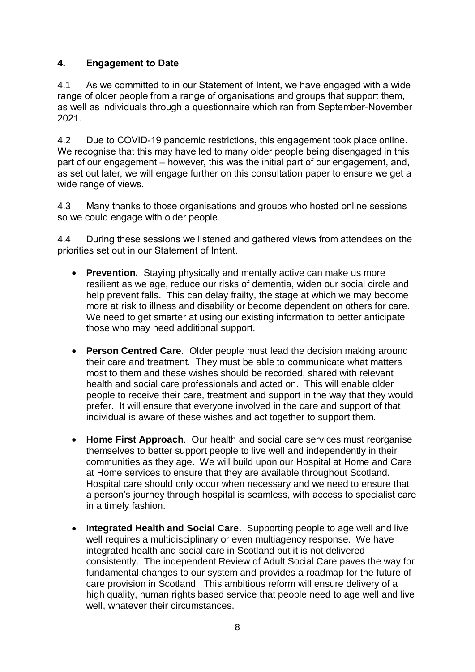#### **4. Engagement to Date**

4.1 As we committed to in our Statement of Intent, we have engaged with a wide range of older people from a range of organisations and groups that support them, as well as individuals through a questionnaire which ran from September-November 2021.

4.2 Due to COVID-19 pandemic restrictions, this engagement took place online. We recognise that this may have led to many older people being disengaged in this part of our engagement – however, this was the initial part of our engagement, and, as set out later, we will engage further on this consultation paper to ensure we get a wide range of views.

4.3 Many thanks to those organisations and groups who hosted online sessions so we could engage with older people.

4.4 During these sessions we listened and gathered views from attendees on the priorities set out in our Statement of Intent.

- **Prevention***.* Staying physically and mentally active can make us more resilient as we age, reduce our risks of dementia, widen our social circle and help prevent falls. This can delay frailty, the stage at which we may become more at risk to illness and disability or become dependent on others for care. We need to get smarter at using our existing information to better anticipate those who may need additional support.
- **Person Centred Care**. Older people must lead the decision making around their care and treatment. They must be able to communicate what matters most to them and these wishes should be recorded, shared with relevant health and social care professionals and acted on. This will enable older people to receive their care, treatment and support in the way that they would prefer. It will ensure that everyone involved in the care and support of that individual is aware of these wishes and act together to support them.
- **Home First Approach**. Our health and social care services must reorganise themselves to better support people to live well and independently in their communities as they age. We will build upon our Hospital at Home and Care at Home services to ensure that they are available throughout Scotland. Hospital care should only occur when necessary and we need to ensure that a person's journey through hospital is seamless, with access to specialist care in a timely fashion.
- **Integrated Health and Social Care**. Supporting people to age well and live well requires a multidisciplinary or even multiagency response. We have integrated health and social care in Scotland but it is not delivered consistently. The independent Review of Adult Social Care paves the way for fundamental changes to our system and provides a roadmap for the future of care provision in Scotland. This ambitious reform will ensure delivery of a high quality, human rights based service that people need to age well and live well, whatever their circumstances.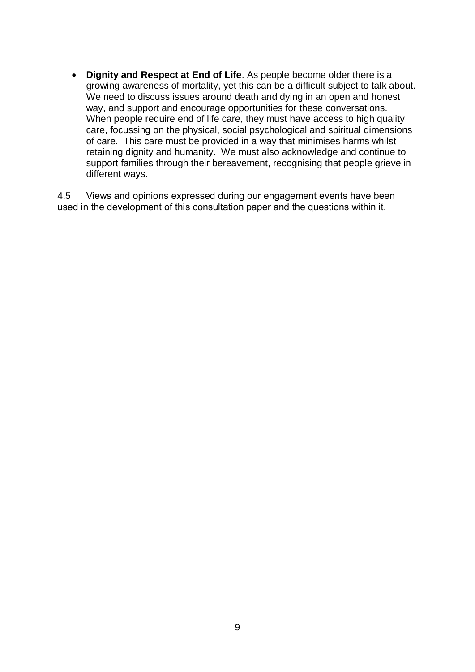• **Dignity and Respect at End of Life**. As people become older there is a growing awareness of mortality, yet this can be a difficult subject to talk about. We need to discuss issues around death and dying in an open and honest way, and support and encourage opportunities for these conversations. When people require end of life care, they must have access to high quality care, focussing on the physical, social psychological and spiritual dimensions of care. This care must be provided in a way that minimises harms whilst retaining dignity and humanity. We must also acknowledge and continue to support families through their bereavement, recognising that people grieve in different ways.

4.5 Views and opinions expressed during our engagement events have been used in the development of this consultation paper and the questions within it.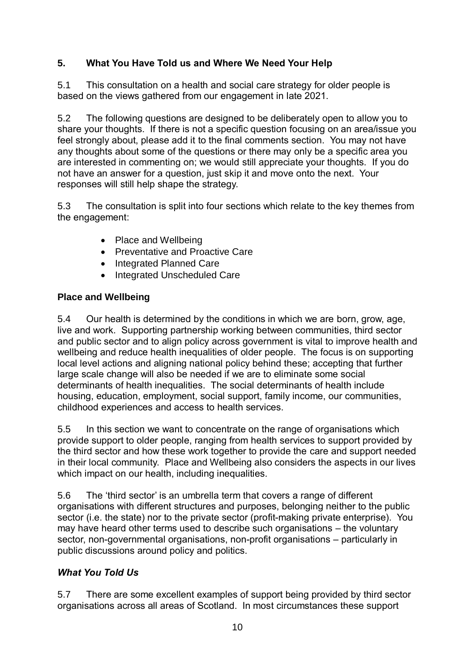#### **5. What You Have Told us and Where We Need Your Help**

5.1 This consultation on a health and social care strategy for older people is based on the views gathered from our engagement in late 2021.

5.2 The following questions are designed to be deliberately open to allow you to share your thoughts. If there is not a specific question focusing on an area/issue you feel strongly about, please add it to the final comments section. You may not have any thoughts about some of the questions or there may only be a specific area you are interested in commenting on; we would still appreciate your thoughts. If you do not have an answer for a question, just skip it and move onto the next. Your responses will still help shape the strategy.

5.3 The consultation is split into four sections which relate to the key themes from the engagement:

- Place and Wellbeing
- Preventative and Proactive Care
- Integrated Planned Care
- Integrated Unscheduled Care

#### **Place and Wellbeing**

5.4 Our health is determined by the conditions in which we are born, grow, age, live and work. Supporting partnership working between communities, third sector and public sector and to align policy across government is vital to improve health and wellbeing and reduce health inequalities of older people. The focus is on supporting local level actions and aligning national policy behind these; accepting that further large scale change will also be needed if we are to eliminate some social determinants of health inequalities. The social determinants of health include housing, education, employment, social support, family income, our communities, childhood experiences and access to health services.

5.5 In this section we want to concentrate on the range of organisations which provide support to older people, ranging from health services to support provided by the third sector and how these work together to provide the care and support needed in their local community. Place and Wellbeing also considers the aspects in our lives which impact on our health, including inequalities.

5.6 The 'third sector' is an umbrella term that covers a range of different organisations with different structures and purposes, belonging neither to the public sector (i.e. the state) nor to the private sector (profit-making private enterprise). You may have heard other terms used to describe such organisations – the voluntary sector, non-governmental organisations, non-profit organisations – particularly in public discussions around policy and politics.

#### *What You Told Us*

5.7 There are some excellent examples of support being provided by third sector organisations across all areas of Scotland. In most circumstances these support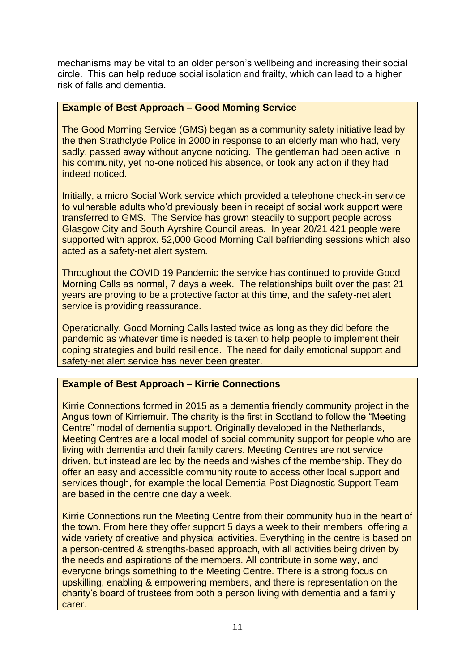mechanisms may be vital to an older person's wellbeing and increasing their social circle. This can help reduce social isolation and frailty, which can lead to a higher risk of falls and dementia.

#### **Example of Best Approach – Good Morning Service**

The Good Morning Service (GMS) began as a community safety initiative lead by the then Strathclyde Police in 2000 in response to an elderly man who had, very sadly, passed away without anyone noticing. The gentleman had been active in his community, yet no-one noticed his absence, or took any action if they had indeed noticed.

Initially, a micro Social Work service which provided a telephone check-in service to vulnerable adults who'd previously been in receipt of social work support were transferred to GMS. The Service has grown steadily to support people across Glasgow City and South Ayrshire Council areas. In year 20/21 421 people were supported with approx. 52,000 Good Morning Call befriending sessions which also acted as a safety-net alert system.

Throughout the COVID 19 Pandemic the service has continued to provide Good Morning Calls as normal, 7 days a week. The relationships built over the past 21 years are proving to be a protective factor at this time, and the safety-net alert service is providing reassurance.

Operationally, Good Morning Calls lasted twice as long as they did before the pandemic as whatever time is needed is taken to help people to implement their coping strategies and build resilience. The need for daily emotional support and safety-net alert service has never been greater.

#### **Example of Best Approach – Kirrie Connections**

Kirrie Connections formed in 2015 as a dementia friendly community project in the Angus town of Kirriemuir. The charity is the first in Scotland to follow the "Meeting Centre" model of dementia support. Originally developed in the Netherlands, Meeting Centres are a local model of social community support for people who are living with dementia and their family carers. Meeting Centres are not service driven, but instead are led by the needs and wishes of the membership. They do offer an easy and accessible community route to access other local support and services though, for example the local Dementia Post Diagnostic Support Team are based in the centre one day a week.

Kirrie Connections run the Meeting Centre from their community hub in the heart of the town. From here they offer support 5 days a week to their members, offering a wide variety of creative and physical activities. Everything in the centre is based on a person-centred & strengths-based approach, with all activities being driven by the needs and aspirations of the members. All contribute in some way, and everyone brings something to the Meeting Centre. There is a strong focus on upskilling, enabling & empowering members, and there is representation on the charity's board of trustees from both a person living with dementia and a family carer.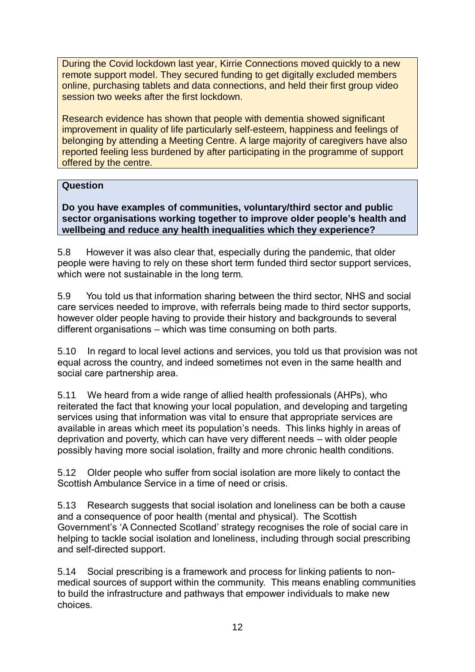During the Covid lockdown last year, Kirrie Connections moved quickly to a new remote support model. They secured funding to get digitally excluded members online, purchasing tablets and data connections, and held their first group video session two weeks after the first lockdown.

Research evidence has shown that people with dementia showed significant improvement in quality of life particularly self-esteem, happiness and feelings of belonging by attending a Meeting Centre. A large majority of caregivers have also reported feeling less burdened by after participating in the programme of support offered by the centre.

#### **Question**

**Do you have examples of communities, voluntary/third sector and public sector organisations working together to improve older people's health and wellbeing and reduce any health inequalities which they experience?**

5.8 However it was also clear that, especially during the pandemic, that older people were having to rely on these short term funded third sector support services, which were not sustainable in the long term.

5.9 You told us that information sharing between the third sector, NHS and social care services needed to improve, with referrals being made to third sector supports, however older people having to provide their history and backgrounds to several different organisations – which was time consuming on both parts.

5.10 In regard to local level actions and services, you told us that provision was not equal across the country, and indeed sometimes not even in the same health and social care partnership area.

5.11 We heard from a wide range of allied health professionals (AHPs), who reiterated the fact that knowing your local population, and developing and targeting services using that information was vital to ensure that appropriate services are available in areas which meet its population's needs. This links highly in areas of deprivation and poverty, which can have very different needs – with older people possibly having more social isolation, frailty and more chronic health conditions.

5.12 Older people who suffer from social isolation are more likely to contact the Scottish Ambulance Service in a time of need or crisis.

5.13 Research suggests that social isolation and loneliness can be both a cause and a consequence of poor health (mental and physical). The Scottish Government's 'A Connected Scotland' strategy recognises the role of social care in helping to tackle social isolation and loneliness, including through social prescribing and self-directed support.

5.14 Social prescribing is a framework and process for linking patients to nonmedical sources of support within the community. This means enabling communities to build the infrastructure and pathways that empower individuals to make new choices.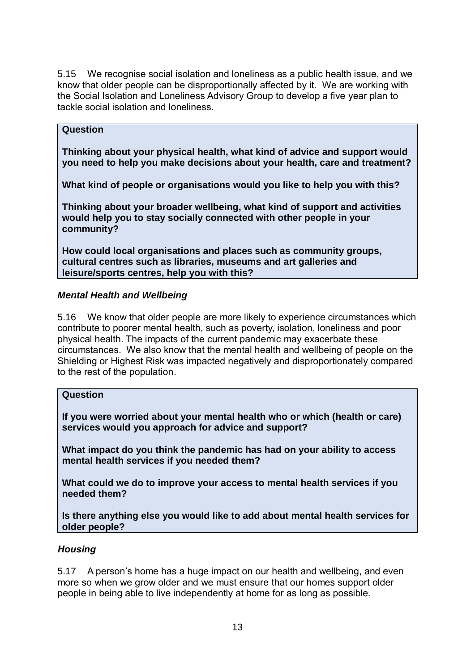5.15 We recognise social isolation and loneliness as a public health issue, and we know that older people can be disproportionally affected by it. We are working with the Social Isolation and Loneliness Advisory Group to develop a five year plan to tackle social isolation and loneliness.

#### **Question**

**Thinking about your physical health, what kind of advice and support would you need to help you make decisions about your health, care and treatment?** 

**What kind of people or organisations would you like to help you with this?**

**Thinking about your broader wellbeing, what kind of support and activities would help you to stay socially connected with other people in your community?**

**How could local organisations and places such as community groups, cultural centres such as libraries, museums and art galleries and leisure/sports centres, help you with this?**

#### *Mental Health and Wellbeing*

5.16 We know that older people are more likely to experience circumstances which contribute to poorer mental health, such as poverty, isolation, loneliness and poor physical health. The impacts of the current pandemic may exacerbate these circumstances. We also know that the mental health and wellbeing of people on the Shielding or Highest Risk was impacted negatively and disproportionately compared to the rest of the population.

#### **Question**

**If you were worried about your mental health who or which (health or care) services would you approach for advice and support?**

**What impact do you think the pandemic has had on your ability to access mental health services if you needed them?**

**What could we do to improve your access to mental health services if you needed them?**

**Is there anything else you would like to add about mental health services for older people?**

#### *Housing*

5.17 A person's home has a huge impact on our health and wellbeing, and even more so when we grow older and we must ensure that our homes support older people in being able to live independently at home for as long as possible.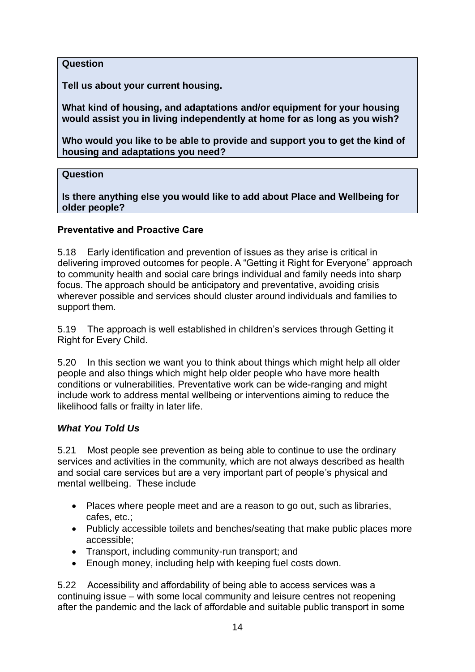#### **Question**

**Tell us about your current housing.**

**What kind of housing, and adaptations and/or equipment for your housing would assist you in living independently at home for as long as you wish?**

**Who would you like to be able to provide and support you to get the kind of housing and adaptations you need?**

#### **Question**

**Is there anything else you would like to add about Place and Wellbeing for older people?**

#### **Preventative and Proactive Care**

5.18 Early identification and prevention of issues as they arise is critical in delivering improved outcomes for people. A "Getting it Right for Everyone" approach to community health and social care brings individual and family needs into sharp focus. The approach should be anticipatory and preventative, avoiding crisis wherever possible and services should cluster around individuals and families to support them.

5.19 The approach is well established in children's services through Getting it Right for Every Child.

5.20 In this section we want you to think about things which might help all older people and also things which might help older people who have more health conditions or vulnerabilities. Preventative work can be wide-ranging and might include work to address mental wellbeing or interventions aiming to reduce the likelihood falls or frailty in later life.

#### *What You Told Us*

5.21 Most people see prevention as being able to continue to use the ordinary services and activities in the community, which are not always described as health and social care services but are a very important part of people's physical and mental wellbeing. These include

- Places where people meet and are a reason to go out, such as libraries, cafes, etc.;
- Publicly accessible toilets and benches/seating that make public places more accessible;
- Transport, including community-run transport; and
- Enough money, including help with keeping fuel costs down.

5.22 Accessibility and affordability of being able to access services was a continuing issue – with some local community and leisure centres not reopening after the pandemic and the lack of affordable and suitable public transport in some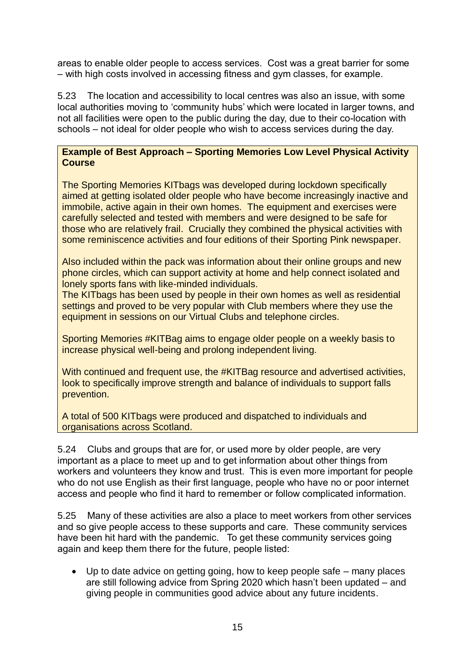areas to enable older people to access services. Cost was a great barrier for some – with high costs involved in accessing fitness and gym classes, for example.

5.23 The location and accessibility to local centres was also an issue, with some local authorities moving to 'community hubs' which were located in larger towns, and not all facilities were open to the public during the day, due to their co-location with schools – not ideal for older people who wish to access services during the day.

#### **Example of Best Approach – Sporting Memories Low Level Physical Activity Course**

The Sporting Memories KITbags was developed during lockdown specifically aimed at getting isolated older people who have become increasingly inactive and immobile, active again in their own homes. The equipment and exercises were carefully selected and tested with members and were designed to be safe for those who are relatively frail. Crucially they combined the physical activities with some reminiscence activities and four editions of their Sporting Pink newspaper.

Also included within the pack was information about their online groups and new phone circles, which can support activity at home and help connect isolated and lonely sports fans with like-minded individuals.

The KITbags has been used by people in their own homes as well as residential settings and proved to be very popular with Club members where they use the equipment in sessions on our Virtual Clubs and telephone circles.

Sporting Memories #KITBag aims to engage older people on a weekly basis to increase physical well-being and prolong independent living.

With continued and frequent use, the #KITBag resource and advertised activities, look to specifically improve strength and balance of individuals to support falls prevention.

A total of 500 KITbags were produced and dispatched to individuals and organisations across Scotland.

5.24 Clubs and groups that are for, or used more by older people, are very important as a place to meet up and to get information about other things from workers and volunteers they know and trust. This is even more important for people who do not use English as their first language, people who have no or poor internet access and people who find it hard to remember or follow complicated information.

5.25 Many of these activities are also a place to meet workers from other services and so give people access to these supports and care. These community services have been hit hard with the pandemic. To get these community services going again and keep them there for the future, people listed:

• Up to date advice on getting going, how to keep people safe – many places are still following advice from Spring 2020 which hasn't been updated – and giving people in communities good advice about any future incidents.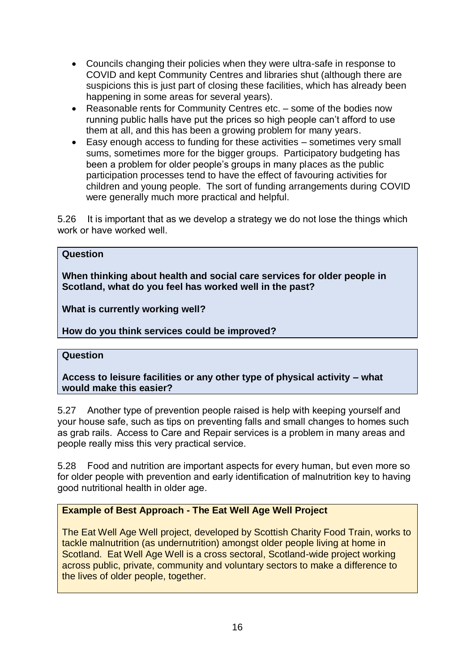- Councils changing their policies when they were ultra-safe in response to COVID and kept Community Centres and libraries shut (although there are suspicions this is just part of closing these facilities, which has already been happening in some areas for several years).
- Reasonable rents for Community Centres etc. some of the bodies now running public halls have put the prices so high people can't afford to use them at all, and this has been a growing problem for many years.
- Easy enough access to funding for these activities sometimes very small sums, sometimes more for the bigger groups. Participatory budgeting has been a problem for older people's groups in many places as the public participation processes tend to have the effect of favouring activities for children and young people. The sort of funding arrangements during COVID were generally much more practical and helpful.

5.26 It is important that as we develop a strategy we do not lose the things which work or have worked well.

#### **Question**

**When thinking about health and social care services for older people in Scotland, what do you feel has worked well in the past?** 

**What is currently working well?**

**How do you think services could be improved?**

#### **Question**

**Access to leisure facilities or any other type of physical activity – what would make this easier?**

5.27 Another type of prevention people raised is help with keeping yourself and your house safe, such as tips on preventing falls and small changes to homes such as grab rails. Access to Care and Repair services is a problem in many areas and people really miss this very practical service.

5.28 Food and nutrition are important aspects for every human, but even more so for older people with prevention and early identification of malnutrition key to having good nutritional health in older age.

#### **Example of Best Approach - The Eat Well Age Well Project**

The Eat Well Age Well project, developed by Scottish Charity Food Train, works to tackle malnutrition (as undernutrition) amongst older people living at home in Scotland. Eat Well Age Well is a cross sectoral, Scotland-wide project working across public, private, community and voluntary sectors to make a difference to the lives of older people, together.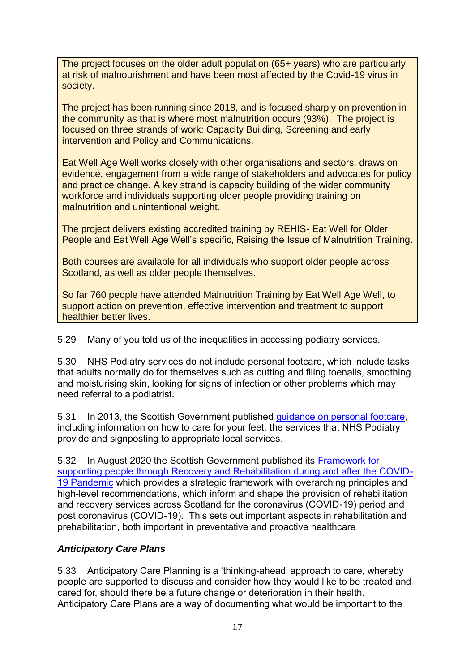The project focuses on the older adult population (65+ years) who are particularly at risk of malnourishment and have been most affected by the Covid-19 virus in society.

The project has been running since 2018, and is focused sharply on prevention in the community as that is where most malnutrition occurs (93%). The project is focused on three strands of work: Capacity Building, Screening and early intervention and Policy and Communications.

Eat Well Age Well works closely with other organisations and sectors, draws on evidence, engagement from a wide range of stakeholders and advocates for policy and practice change. A key strand is capacity building of the wider community workforce and individuals supporting older people providing training on malnutrition and unintentional weight.

The project delivers existing accredited training by REHIS- Eat Well for Older People and Eat Well Age Well's specific, Raising the Issue of Malnutrition Training.

Both courses are available for all individuals who support older people across Scotland, as well as older people themselves.

So far 760 people have attended Malnutrition Training by Eat Well Age Well, to support action on prevention, effective intervention and treatment to support healthier better lives.

5.29 Many of you told us of the inequalities in accessing podiatry services.

5.30 NHS Podiatry services do not include personal footcare, which include tasks that adults normally do for themselves such as cutting and filing toenails, smoothing and moisturising skin, looking for signs of infection or other problems which may need referral to a podiatrist.

5.31 In 2013, the Scottish Government published [guidance on personal footcare,](https://www.gov.scot/publications/personal-footcare-guidance/) including information on how to care for your feet, the services that NHS Podiatry provide and signposting to appropriate local services.

5.32 In August 2020 the Scottish Government published its [Framework for](https://www.gov.scot/publications/framework-supporting-people-through-recovery-rehabilitation-during-covid-19-pandemic/pages/0/)  [supporting people through Recovery and Rehabilitation during and after the COVID-](https://www.gov.scot/publications/framework-supporting-people-through-recovery-rehabilitation-during-covid-19-pandemic/pages/0/)[19 Pandemic](https://www.gov.scot/publications/framework-supporting-people-through-recovery-rehabilitation-during-covid-19-pandemic/pages/0/) which provides a strategic framework with overarching principles and high-level recommendations, which inform and shape the provision of rehabilitation and recovery services across Scotland for the coronavirus (COVID-19) period and post coronavirus (COVID-19). This sets out important aspects in rehabilitation and prehabilitation, both important in preventative and proactive healthcare

#### *Anticipatory Care Plans*

5.33 Anticipatory Care Planning is a 'thinking-ahead' approach to care, whereby people are supported to discuss and consider how they would like to be treated and cared for, should there be a future change or deterioration in their health. Anticipatory Care Plans are a way of documenting what would be important to the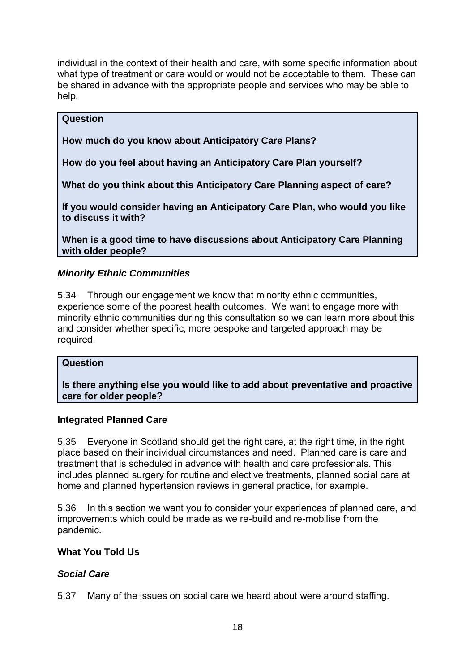individual in the context of their health and care, with some specific information about what type of treatment or care would or would not be acceptable to them. These can be shared in advance with the appropriate people and services who may be able to help.

#### **Question**

**How much do you know about Anticipatory Care Plans?**

**How do you feel about having an Anticipatory Care Plan yourself?**

**What do you think about this Anticipatory Care Planning aspect of care?**

**If you would consider having an Anticipatory Care Plan, who would you like to discuss it with?**

**When is a good time to have discussions about Anticipatory Care Planning with older people?**

#### *Minority Ethnic Communities*

5.34 Through our engagement we know that minority ethnic communities, experience some of the poorest health outcomes. We want to engage more with minority ethnic communities during this consultation so we can learn more about this and consider whether specific, more bespoke and targeted approach may be required.

#### **Question**

**Is there anything else you would like to add about preventative and proactive care for older people?**

#### **Integrated Planned Care**

5.35 Everyone in Scotland should get the right care, at the right time, in the right place based on their individual circumstances and need. Planned care is care and treatment that is scheduled in advance with health and care professionals. This includes planned surgery for routine and elective treatments, planned social care at home and planned hypertension reviews in general practice, for example.

5.36 In this section we want you to consider your experiences of planned care, and improvements which could be made as we re-build and re-mobilise from the pandemic.

#### **What You Told Us**

#### *Social Care*

5.37 Many of the issues on social care we heard about were around staffing.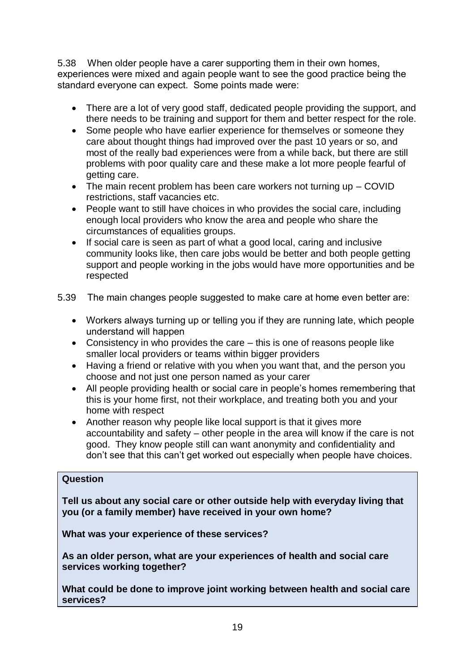5.38 When older people have a carer supporting them in their own homes, experiences were mixed and again people want to see the good practice being the standard everyone can expect. Some points made were:

- There are a lot of very good staff, dedicated people providing the support, and there needs to be training and support for them and better respect for the role.
- Some people who have earlier experience for themselves or someone they care about thought things had improved over the past 10 years or so, and most of the really bad experiences were from a while back, but there are still problems with poor quality care and these make a lot more people fearful of getting care.
- The main recent problem has been care workers not turning up COVID restrictions, staff vacancies etc.
- People want to still have choices in who provides the social care, including enough local providers who know the area and people who share the circumstances of equalities groups.
- If social care is seen as part of what a good local, caring and inclusive community looks like, then care jobs would be better and both people getting support and people working in the jobs would have more opportunities and be respected
- 5.39 The main changes people suggested to make care at home even better are:
	- Workers always turning up or telling you if they are running late, which people understand will happen
	- Consistency in who provides the care this is one of reasons people like smaller local providers or teams within bigger providers
	- Having a friend or relative with you when you want that, and the person you choose and not just one person named as your carer
	- All people providing health or social care in people's homes remembering that this is your home first, not their workplace, and treating both you and your home with respect
	- Another reason why people like local support is that it gives more accountability and safety – other people in the area will know if the care is not good. They know people still can want anonymity and confidentiality and don't see that this can't get worked out especially when people have choices.

#### **Question**

**Tell us about any social care or other outside help with everyday living that you (or a family member) have received in your own home?**

**What was your experience of these services?**

**As an older person, what are your experiences of health and social care services working together?**

**What could be done to improve joint working between health and social care services?**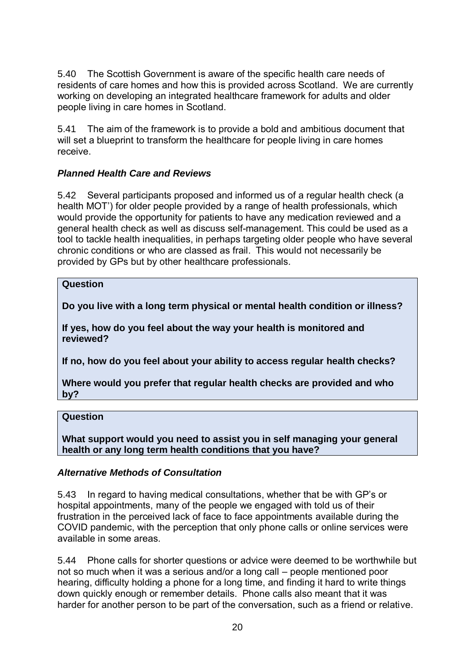5.40 The Scottish Government is aware of the specific health care needs of residents of care homes and how this is provided across Scotland. We are currently working on developing an integrated healthcare framework for adults and older people living in care homes in Scotland.

5.41 The aim of the framework is to provide a bold and ambitious document that will set a blueprint to transform the healthcare for people living in care homes receive.

#### *Planned Health Care and Reviews*

5.42 Several participants proposed and informed us of a regular health check (a health MOT') for older people provided by a range of health professionals, which would provide the opportunity for patients to have any medication reviewed and a general health check as well as discuss self-management. This could be used as a tool to tackle health inequalities, in perhaps targeting older people who have several chronic conditions or who are classed as frail. This would not necessarily be provided by GPs but by other healthcare professionals.

#### **Question**

**Do you live with a long term physical or mental health condition or illness?**

**If yes, how do you feel about the way your health is monitored and reviewed?**

**If no, how do you feel about your ability to access regular health checks?**

**Where would you prefer that regular health checks are provided and who by?**

#### **Question**

**What support would you need to assist you in self managing your general health or any long term health conditions that you have?**

#### *Alternative Methods of Consultation*

5.43 In regard to having medical consultations, whether that be with GP's or hospital appointments, many of the people we engaged with told us of their frustration in the perceived lack of face to face appointments available during the COVID pandemic, with the perception that only phone calls or online services were available in some areas.

5.44 Phone calls for shorter questions or advice were deemed to be worthwhile but not so much when it was a serious and/or a long call – people mentioned poor hearing, difficulty holding a phone for a long time, and finding it hard to write things down quickly enough or remember details. Phone calls also meant that it was harder for another person to be part of the conversation, such as a friend or relative.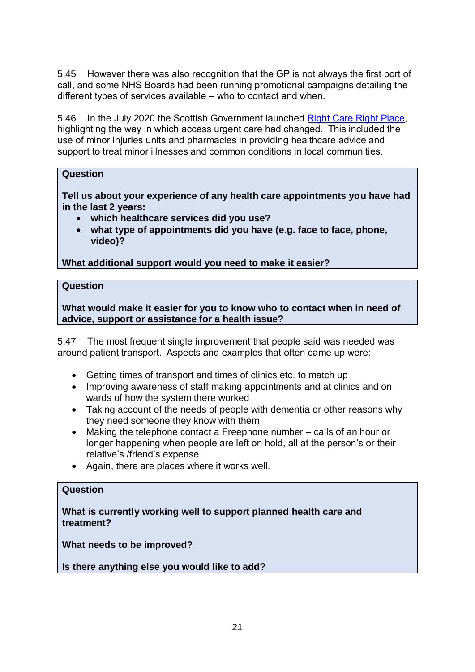5.45 However there was also recognition that the GP is not always the first port of call, and some NHS Boards had been running promotional campaigns detailing the different types of services available – who to contact and when.

5.46 In the July 2020 the Scottish Government launched [Right Care Right Place,](https://www.nhsinform.scot/campaigns/right-care-right-place) highlighting the way in which access urgent care had changed. This included the use of minor injuries units and pharmacies in providing healthcare advice and support to treat minor illnesses and common conditions in local communities.

#### **Question**

**Tell us about your experience of any health care appointments you have had in the last 2 years:**

- **which healthcare services did you use?**
- **what type of appointments did you have (e.g. face to face, phone, video)?**

**What additional support would you need to make it easier?**

#### **Question**

**What would make it easier for you to know who to contact when in need of advice, support or assistance for a health issue?** 

5.47 The most frequent single improvement that people said was needed was around patient transport. Aspects and examples that often came up were:

- Getting times of transport and times of clinics etc. to match up
- Improving awareness of staff making appointments and at clinics and on wards of how the system there worked
- Taking account of the needs of people with dementia or other reasons why they need someone they know with them
- Making the telephone contact a Freephone number calls of an hour or longer happening when people are left on hold, all at the person's or their relative's /friend's expense
- Again, there are places where it works well.

#### **Question**

**What is currently working well to support planned health care and treatment?**

**What needs to be improved?**

**Is there anything else you would like to add?**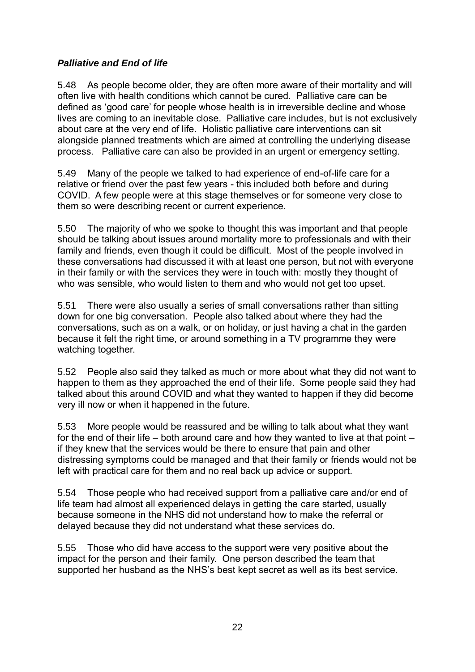#### *Palliative and End of life*

5.48 As people become older, they are often more aware of their mortality and will often live with health conditions which cannot be cured. Palliative care can be defined as 'good care' for people whose health is in irreversible decline and whose lives are coming to an inevitable close. Palliative care includes, but is not exclusively about care at the very end of life. Holistic palliative care interventions can sit alongside planned treatments which are aimed at controlling the underlying disease process. Palliative care can also be provided in an urgent or emergency setting.

5.49 Many of the people we talked to had experience of end-of-life care for a relative or friend over the past few years - this included both before and during COVID. A few people were at this stage themselves or for someone very close to them so were describing recent or current experience.

5.50 The majority of who we spoke to thought this was important and that people should be talking about issues around mortality more to professionals and with their family and friends, even though it could be difficult. Most of the people involved in these conversations had discussed it with at least one person, but not with everyone in their family or with the services they were in touch with: mostly they thought of who was sensible, who would listen to them and who would not get too upset.

5.51 There were also usually a series of small conversations rather than sitting down for one big conversation. People also talked about where they had the conversations, such as on a walk, or on holiday, or just having a chat in the garden because it felt the right time, or around something in a TV programme they were watching together.

5.52 People also said they talked as much or more about what they did not want to happen to them as they approached the end of their life. Some people said they had talked about this around COVID and what they wanted to happen if they did become very ill now or when it happened in the future.

5.53 More people would be reassured and be willing to talk about what they want for the end of their life – both around care and how they wanted to live at that point – if they knew that the services would be there to ensure that pain and other distressing symptoms could be managed and that their family or friends would not be left with practical care for them and no real back up advice or support.

5.54 Those people who had received support from a palliative care and/or end of life team had almost all experienced delays in getting the care started, usually because someone in the NHS did not understand how to make the referral or delayed because they did not understand what these services do.

5.55 Those who did have access to the support were very positive about the impact for the person and their family. One person described the team that supported her husband as the NHS's best kept secret as well as its best service.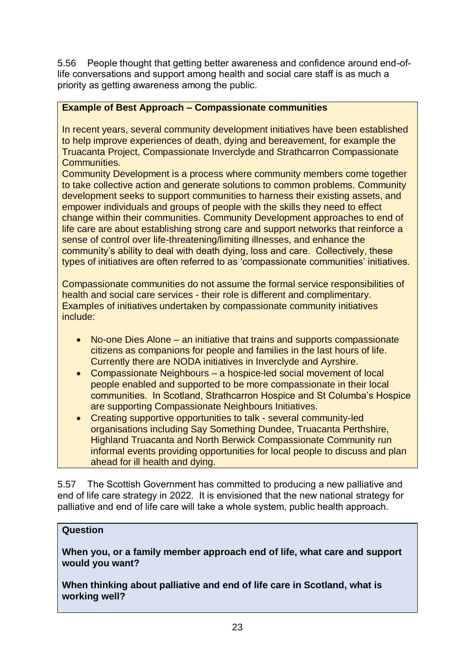5.56 People thought that getting better awareness and confidence around end-oflife conversations and support among health and social care staff is as much a priority as getting awareness among the public.

#### **Example of Best Approach – Compassionate communities**

In recent years, several community development initiatives have been established to help improve experiences of death, dying and bereavement, for example the Truacanta Project, Compassionate Inverclyde and Strathcarron Compassionate Communities.

Community Development is a process where community members come together to take collective action and generate solutions to common problems. Community development seeks to support communities to harness their existing assets, and empower individuals and groups of people with the skills they need to effect change within their communities. Community Development approaches to end of life care are about establishing strong care and support networks that reinforce a sense of control over life-threatening/limiting illnesses, and enhance the community's ability to deal with death dying, loss and care. Collectively, these types of initiatives are often referred to as 'compassionate communities' initiatives.

Compassionate communities do not assume the formal service responsibilities of health and social care services - their role is different and complimentary. Examples of initiatives undertaken by compassionate community initiatives include:

- No-one Dies Alone an initiative that trains and supports compassionate citizens as companions for people and families in the last hours of life. Currently there are NODA initiatives in Inverclyde and Ayrshire.
- Compassionate Neighbours a hospice-led social movement of local people enabled and supported to be more compassionate in their local communities. In Scotland, Strathcarron Hospice and St Columba's Hospice are supporting Compassionate Neighbours Initiatives.
- Creating supportive opportunities to talk several community-led organisations including Say Something Dundee, Truacanta Perthshire, Highland Truacanta and North Berwick Compassionate Community run informal events providing opportunities for local people to discuss and plan ahead for ill health and dying.

5.57 The Scottish Government has committed to producing a new palliative and end of life care strategy in 2022. It is envisioned that the new national strategy for palliative and end of life care will take a whole system, public health approach.

#### **Question**

**When you, or a family member approach end of life, what care and support would you want?**

**When thinking about palliative and end of life care in Scotland, what is working well?**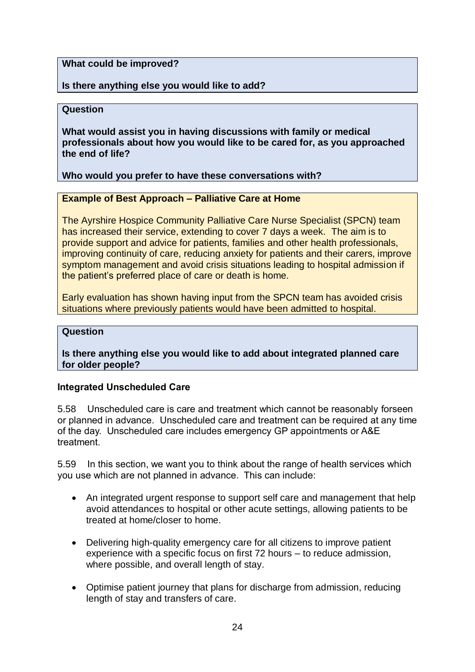**What could be improved?**

#### **Is there anything else you would like to add?**

#### **Question**

**What would assist you in having discussions with family or medical professionals about how you would like to be cared for, as you approached the end of life?**

#### **Who would you prefer to have these conversations with?**

#### **Example of Best Approach – Palliative Care at Home**

The Ayrshire Hospice Community Palliative Care Nurse Specialist (SPCN) team has increased their service, extending to cover 7 days a week. The aim is to provide support and advice for patients, families and other health professionals, improving continuity of care, reducing anxiety for patients and their carers, improve symptom management and avoid crisis situations leading to hospital admission if the patient's preferred place of care or death is home.

Early evaluation has shown having input from the SPCN team has avoided crisis situations where previously patients would have been admitted to hospital.

#### **Question**

**Is there anything else you would like to add about integrated planned care for older people?**

#### **Integrated Unscheduled Care**

5.58 Unscheduled care is care and treatment which cannot be reasonably forseen or planned in advance. Unscheduled care and treatment can be required at any time of the day. Unscheduled care includes emergency GP appointments or A&E treatment.

5.59 In this section, we want you to think about the range of health services which you use which are not planned in advance. This can include:

- An integrated urgent response to support self care and management that help avoid attendances to hospital or other acute settings, allowing patients to be treated at home/closer to home.
- Delivering high-quality emergency care for all citizens to improve patient experience with a specific focus on first 72 hours – to reduce admission, where possible, and overall length of stay.
- Optimise patient journey that plans for discharge from admission, reducing length of stay and transfers of care.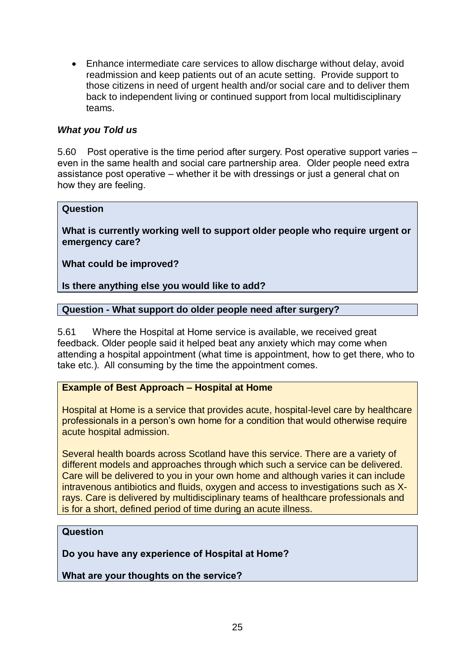• Enhance intermediate care services to allow discharge without delay, avoid readmission and keep patients out of an acute setting. Provide support to those citizens in need of urgent health and/or social care and to deliver them back to independent living or continued support from local multidisciplinary teams.

#### *What you Told us*

5.60 Post operative is the time period after surgery. Post operative support varies – even in the same health and social care partnership area. Older people need extra assistance post operative – whether it be with dressings or just a general chat on how they are feeling.

#### **Question**

**What is currently working well to support older people who require urgent or emergency care?**

**What could be improved?**

**Is there anything else you would like to add?**

#### **Question - What support do older people need after surgery?**

5.61 Where the Hospital at Home service is available, we received great feedback. Older people said it helped beat any anxiety which may come when attending a hospital appointment (what time is appointment, how to get there, who to take etc.). All consuming by the time the appointment comes.

#### **Example of Best Approach – Hospital at Home**

Hospital at Home is a service that provides acute, hospital-level care by healthcare professionals in a person's own home for a condition that would otherwise require acute hospital admission.

Several health boards across Scotland have this service. There are a variety of different models and approaches through which such a service can be delivered. Care will be delivered to you in your own home and although varies it can include intravenous antibiotics and fluids, oxygen and access to investigations such as Xrays. Care is delivered by multidisciplinary teams of healthcare professionals and is for a short, defined period of time during an acute illness.

#### **Question**

**Do you have any experience of Hospital at Home?** 

**What are your thoughts on the service?**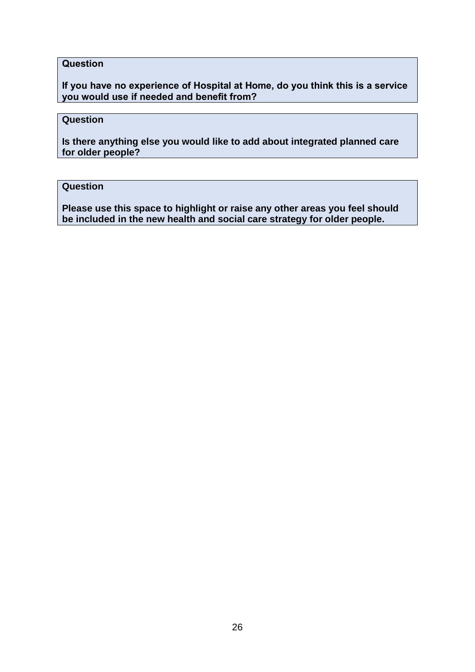#### **Question**

**If you have no experience of Hospital at Home, do you think this is a service you would use if needed and benefit from?**

#### **Question**

**Is there anything else you would like to add about integrated planned care for older people?**

#### **Question**

**Please use this space to highlight or raise any other areas you feel should be included in the new health and social care strategy for older people.**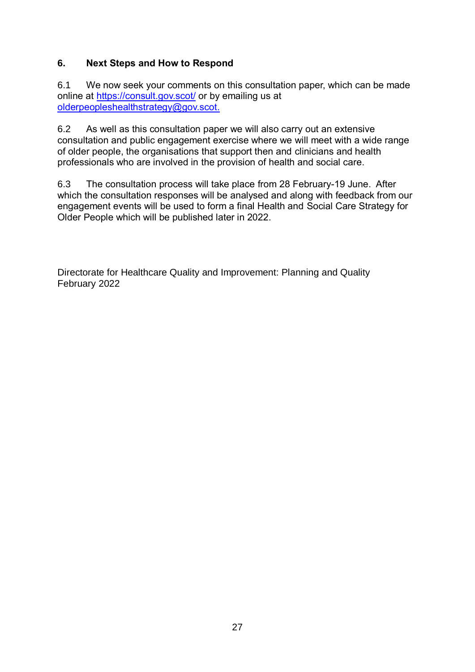#### **6. Next Steps and How to Respond**

6.1 We now seek your comments on this consultation paper, which can be made online at<https://consult.gov.scot/> or by emailing us at [olderpeopleshealthstrategy@gov.scot.](mailto:olderpeopleshealthstrategy@gov.scot)

6.2 As well as this consultation paper we will also carry out an extensive consultation and public engagement exercise where we will meet with a wide range of older people, the organisations that support then and clinicians and health professionals who are involved in the provision of health and social care.

6.3 The consultation process will take place from 28 February-19 June. After which the consultation responses will be analysed and along with feedback from our engagement events will be used to form a final Health and Social Care Strategy for Older People which will be published later in 2022.

Directorate for Healthcare Quality and Improvement: Planning and Quality February 2022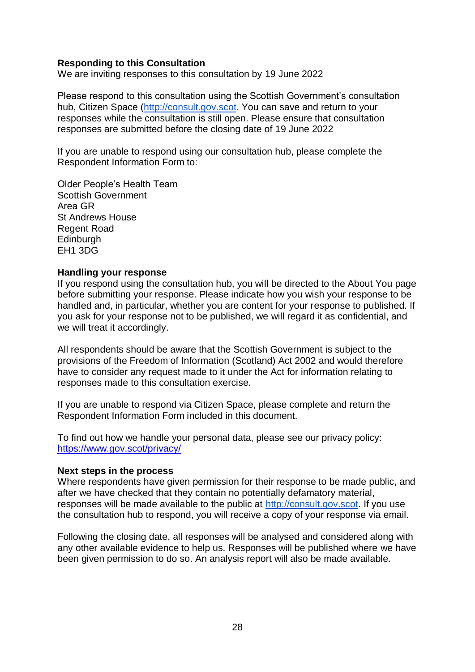#### **Responding to this Consultation**

We are inviting responses to this consultation by 19 June 2022

Please respond to this consultation using the Scottish Government's consultation hub, Citizen Space [\(http://consult.gov.scot.](http://consult.gov.scot/) You can save and return to your responses while the consultation is still open. Please ensure that consultation responses are submitted before the closing date of 19 June 2022

If you are unable to respond using our consultation hub, please complete the Respondent Information Form to:

Older People's Health Team Scottish Government Area GR St Andrews House Regent Road Edinburgh EH1 3DG

#### **Handling your response**

If you respond using the consultation hub, you will be directed to the About You page before submitting your response. Please indicate how you wish your response to be handled and, in particular, whether you are content for your response to published. If you ask for your response not to be published, we will regard it as confidential, and we will treat it accordingly.

All respondents should be aware that the Scottish Government is subject to the provisions of the Freedom of Information (Scotland) Act 2002 and would therefore have to consider any request made to it under the Act for information relating to responses made to this consultation exercise.

If you are unable to respond via Citizen Space, please complete and return the Respondent Information Form included in this document.

To find out how we handle your personal data, please see our privacy policy: <https://www.gov.scot/privacy/>

#### **Next steps in the process**

Where respondents have given permission for their response to be made public, and after we have checked that they contain no potentially defamatory material, responses will be made available to the public at [http://consult.gov.scot.](http://consult.gov.scot/) If you use the consultation hub to respond, you will receive a copy of your response via email.

Following the closing date, all responses will be analysed and considered along with any other available evidence to help us. Responses will be published where we have been given permission to do so. An analysis report will also be made available.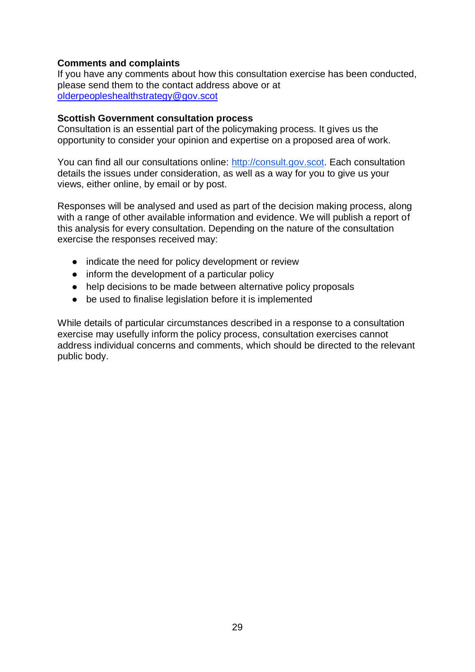#### **Comments and complaints**

If you have any comments about how this consultation exercise has been conducted, please send them to the contact address above or at [olderpeopleshealthstrategy@gov.scot](mailto:olderpeopleshealthstrategy@gov.scot)

#### **Scottish Government consultation process**

Consultation is an essential part of the policymaking process. It gives us the opportunity to consider your opinion and expertise on a proposed area of work.

You can find all our consultations online: [http://consult.gov.scot.](http://consult.gov.scot/) Each consultation details the issues under consideration, as well as a way for you to give us your views, either online, by email or by post.

Responses will be analysed and used as part of the decision making process, along with a range of other available information and evidence. We will publish a report of this analysis for every consultation. Depending on the nature of the consultation exercise the responses received may:

- indicate the need for policy development or review
- inform the development of a particular policy
- help decisions to be made between alternative policy proposals
- be used to finalise legislation before it is implemented

While details of particular circumstances described in a response to a consultation exercise may usefully inform the policy process, consultation exercises cannot address individual concerns and comments, which should be directed to the relevant public body.